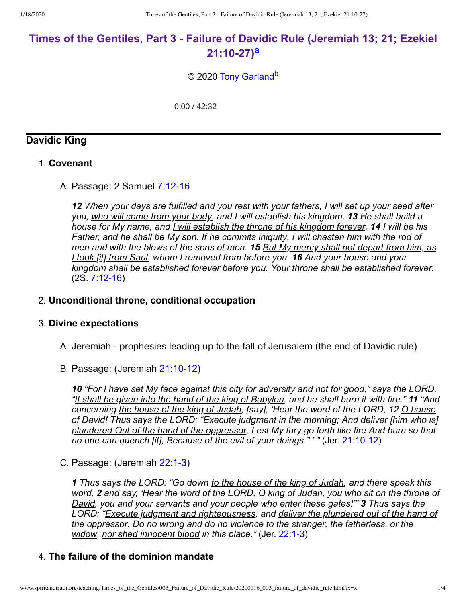# **Times of the Gentiles, Part 3 - Failure of Davidic Rule [\(Jeremiah](http://www.spiritandtruth.org/teaching/Times_of_the_Gentiles/003_Failure_of_Davidic_Rule/index.htm) 13; 21; Ezekiel 21:10-27) [a](#page-3-0)**

<span id="page-0-1"></span><span id="page-0-0"></span>© 2020 [Tony Garland](http://www.spiritandtruth.org/id/tg.htm)<sup>[b](#page-3-1)</sup>

0:00 / 42:32

## **Davidic King**

## 1. **Covenant**

A. Passage: 2 Samuel [7:12-16](http://www.spiritandtruth.org/bibles/nasb/b10c007.htm#2S._C7V12)

*12 When your days are fulfilled and you rest with your fathers, I will set up your seed after you, who will come from your body, and I will establish his kingdom. 13 He shall build a house for My name, and I will establish the throne of his kingdom forever. 14 I will be his Father, and he shall be My son. If he commits iniquity, I will chasten him with the rod of men and with the blows of the sons of men. 15 But My mercy shall not depart from him, as I took [it] from Saul, whom I removed from before you. 16 And your house and your kingdom shall be established forever before you. Your throne shall be established forever.* (2S. [7:12-16](http://www.spiritandtruth.org/bibles/nasb/b10c007.htm#2S._C7V12))

## 2. **Unconditional throne, conditional occupation**

### 3. **Divine expectations**

- A. Jeremiah prophesies leading up to the fall of Jerusalem (the end of Davidic rule)
- B. Passage: (Jeremiah [21:10-12](http://www.spiritandtruth.org/bibles/nasb/b24c021.htm#Jer._C21V10))

*10 "For I have set My face against this city for adversity and not for good," says the LORD. "It shall be given into the hand of the king of Babylon, and he shall burn it with fire." 11 "And concerning the house of the king of Judah, [say], 'Hear the word of the LORD, 12 O house of David! Thus says the LORD: "Execute judgment in the morning; And deliver [him who is] plundered Out of the hand of the oppressor, Lest My fury go forth like fire And burn so that no one can quench [it], Because of the evil of your doings." ' "* (Jer. [21:10-12](http://www.spiritandtruth.org/bibles/nasb/b24c021.htm#Jer._C21V10))

C. Passage: (Jeremiah [22:1-3\)](http://www.spiritandtruth.org/bibles/nasb/b24c022.htm#Jer._C22V1)

*1 Thus says the LORD: "Go down to the house of the king of Judah, and there speak this word, 2 and say, 'Hear the word of the LORD, O king of Judah, you who sit on the throne of David, you and your servants and your people who enter these gates!'" 3 Thus says the LORD: "Execute judgment and righteousness, and deliver the plundered out of the hand of the oppressor. Do no wrong and do no violence to the stranger, the fatherless, or the widow, nor shed innocent blood in this place."* (Jer. [22:1-3](http://www.spiritandtruth.org/bibles/nasb/b24c022.htm#Jer._C22V1))

### 4. **The failure of the dominion mandate**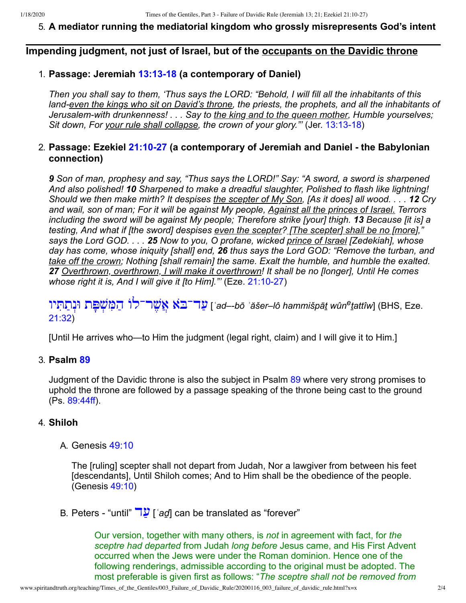## 5. **A mediator running the mediatorial kingdom who grossly misrepresents God's intent**

## **Impending judgment, not just of Israel, but of the occupants on the Davidic throne**

## 1. **Passage: Jeremiah [13:13-18](http://www.spiritandtruth.org/bibles/nasb/b24c013.htm#Jer._C13V13) (a contemporary of Daniel)**

*Then you shall say to them, 'Thus says the LORD: "Behold, I will fill all the inhabitants of this land-even the kings who sit on David's throne, the priests, the prophets, and all the inhabitants of Jerusalem-with drunkenness! . . . Say to the king and to the queen mother, Humble yourselves; Sit down, For your rule shall collapse, the crown of your glory."'* (Jer. [13:13-18](http://www.spiritandtruth.org/bibles/nasb/b24c013.htm#Jer._C13V13))

## 2. **Passage: Ezekiel [21:10-27](http://www.spiritandtruth.org/bibles/nasb/b26c021.htm#Eze._C21V10) (a contemporary of Jeremiah and Daniel - the Babylonian connection)**

*9 Son of man, prophesy and say, "Thus says the LORD!" Say: "A sword, a sword is sharpened And also polished! 10 Sharpened to make a dreadful slaughter, Polished to flash like lightning! Should we then make mirth? It despises the scepter of My Son, [As it does] all wood. . . . 12 Cry and wail, son of man; For it will be against My people, Against all the princes of Israel. Terrors including the sword will be against My people; Therefore strike [your] thigh. 13 Because [it is] a testing, And what if [the sword] despises even the scepter? [The scepter] shall be no [more]," says the Lord GOD. . . . 25 Now to you, O profane, wicked prince of Israel [Zedekiah], whose day has come, whose iniquity [shall] end, 26 thus says the Lord GOD: "Remove the turban, and take off the crown; Nothing [shall remain] the same. Exalt the humble, and humble the exalted. 27 Overthrown, overthrown, I will make it overthrown! It shall be no [longer], Until He comes whose right it is, And I will give it [to Him]."'* (Eze. [21:10-27](http://www.spiritandtruth.org/bibles/nasb/b26c021.htm#Eze._C21V10))

שְׁר־לוֹ הַמָּשְׁפָּת וּנְתַחִיו [ˈad–-bō ʾăšer–lô hammišpāṯ wûn<sup>e</sup>ṯattîw] (BHS, Eze. [21:32](http://www.spiritandtruth.org/bibles/nasb/b26c021.htm#Eze._C21V32))

[Until He arrives who—to Him the judgment (legal right, claim) and I will give it to Him.]

## 3. **Psalm [89](http://www.spiritandtruth.org/bibles/nasb/b19c089.htm#Ps._C89V1)**

Judgment of the Davidic throne is also the subject in Psalm [89](http://www.spiritandtruth.org/bibles/nasb/b19c089.htm#Ps._C89V1) where very strong promises to uphold the throne are followed by a passage speaking of the throne being cast to the ground (Ps. [89:44ff\)](http://www.spiritandtruth.org/bibles/nasb/b19c089.htm#Ps._C89V44).

## 4. **Shiloh**

## A. Genesis [49:10](http://www.spiritandtruth.org/bibles/nasb/b01c049.htm#Gen._C49V10)

The [ruling] scepter shall not depart from Judah, Nor a lawgiver from between his feet [descendants], Until Shiloh comes; And to Him shall be the obedience of the people. (Genesis [49:10\)](http://www.spiritandtruth.org/bibles/nasb/b01c049.htm#Gen._C49V10)

B. Peters - "until" **JU** ['ad] can be translated as "forever"

Our version, together with many others, is *not* in agreement with fact, for *the sceptre had departed* from Judah *long before* Jesus came, and His First Advent occurred when the Jews were under the Roman dominion. Hence one of the following renderings, admissible according to the original must be adopted. The most preferable is given first as follows: "*The sceptre shall not be removed from*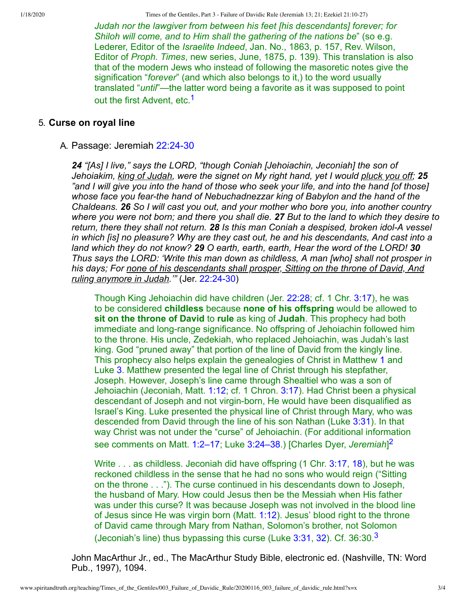1/18/2020 Times of the Gentiles, Part 3 - Failure of Davidic Rule (Jeremiah 13; 21; Ezekiel 21:10-27)

<span id="page-2-0"></span>*Judah nor the lawgiver from between his feet [his descendants] forever; for Shiloh will come, and to Him shall the gathering of the nations be*" (so e.g. Lederer, Editor of the *Israelite Indeed*, Jan. No., 1863, p. 157, Rev. Wilson, Editor of *Proph. Times*, new series, June, 1875, p. 139). This translation is also that of the modern Jews who instead of following the masoretic notes give the signification "*forever*" (and which also belongs to it,) to the word usually translated "*until*"—the latter word being a favorite as it was supposed to point out the first Advent, etc.<sup>[1](#page-3-2)</sup>

## 5. **Curse on royal line**

## A. Passage: Jeremiah [22:24-30](http://www.spiritandtruth.org/bibles/nasb/b24c022.htm#Jer._C22V24)

*24 "[As] I live," says the LORD, "though Coniah [Jehoiachin, Jeconiah] the son of Jehoiakim, king of Judah, were the signet on My right hand, yet I would pluck you off; 25 "and I will give you into the hand of those who seek your life, and into the hand [of those] whose face you fear-the hand of Nebuchadnezzar king of Babylon and the hand of the Chaldeans. 26 So I will cast you out, and your mother who bore you, into another country where you were not born; and there you shall die. 27 But to the land to which they desire to return, there they shall not return. 28 Is this man Coniah a despised, broken idol-A vessel in which [is] no pleasure? Why are they cast out, he and his descendants, And cast into a land which they do not know? 29 O earth, earth, earth, Hear the word of the LORD! 30 Thus says the LORD: 'Write this man down as childless, A man [who] shall not prosper in his days; For none of his descendants shall prosper, Sitting on the throne of David, And ruling anymore in Judah.'"* (Jer. [22:24-30\)](http://www.spiritandtruth.org/bibles/nasb/b24c022.htm#Jer._C22V24)

Though King Jehoiachin did have children (Jer. [22:28](http://www.spiritandtruth.org/bibles/nasb/b24c022.htm#Jer._C22V28); cf. 1 Chr. [3:17\)](http://www.spiritandtruth.org/bibles/nasb/b13c003.htm#1Chr._C3V17), he was to be considered **childless** because **none of his offspring** would be allowed to **sit on the throne of David** to **rule** as king of **Judah**. This prophecy had both immediate and long-range significance. No offspring of Jehoiachin followed him to the throne. His uncle, Zedekiah, who replaced Jehoiachin, was Judah's last king. God "pruned away" that portion of the line of David from the kingly line. This prophecy also helps explain the genealogies of Christ in Matthew [1](http://www.spiritandtruth.org/bibles/nasb/b40c001.htm#Mat._C1V1) and Luke [3](http://www.spiritandtruth.org/bibles/nasb/b42c003.htm#Luke_C3V1). Matthew presented the legal line of Christ through his stepfather, Joseph. However, Joseph's line came through Shealtiel who was a son of Jehoiachin (Jeconiah, Matt. [1:12](http://www.spiritandtruth.org/bibles/nasb/b40c001.htm#Mat._C1V12); cf. 1 Chron. [3:17\)](http://www.spiritandtruth.org/bibles/nasb/b13c003.htm#1Chr._C3V17). Had Christ been a physical descendant of Joseph and not virgin-born, He would have been disqualified as Israel's King. Luke presented the physical line of Christ through Mary, who was descended from David through the line of his son Nathan (Luke [3:31](http://www.spiritandtruth.org/bibles/nasb/b42c003.htm#Luke_C3V31)). In that way Christ was not under the "curse" of Jehoiachin. (For additional information see comments on Matt. [1:2–17;](http://www.spiritandtruth.org/bibles/nasb/b40c001.htm#Mat._C1V2) Luke [3:24–38.](http://www.spiritandtruth.org/bibles/nasb/b42c003.htm#Luke_C3V24)) [Charles Dyer, *Jeremiah*] [2](#page-3-3)

<span id="page-2-2"></span><span id="page-2-1"></span>Write . . . as childless. Jeconiah did have offspring (1 Chr. [3:17](http://www.spiritandtruth.org/bibles/nasb/b13c003.htm#1Chr._C3V17), [18](http://www.spiritandtruth.org/bibles/nasb/b13c003.htm#1Chr._C3V18)), but he was reckoned childless in the sense that he had no sons who would reign ("Sitting on the throne . . ."). The curse continued in his descendants down to Joseph, the husband of Mary. How could Jesus then be the Messiah when His father was under this curse? It was because Joseph was not involved in the blood line of Jesus since He was virgin born (Matt. [1:12\)](http://www.spiritandtruth.org/bibles/nasb/b40c001.htm#Mat._C1V12). Jesus' blood right to the throne of David came through Mary from Nathan, Solomon's brother, not Solomon (Jeconiah's line) thus bypassing this curse (Luke [3:31,](http://www.spiritandtruth.org/bibles/nasb/b42c003.htm#Luke_C3V31) [32\)](http://www.spiritandtruth.org/bibles/nasb/b42c003.htm#Luke_C3V32). Cf. [3](#page-3-4)6:30. $3$ 

John MacArthur Jr., ed., The MacArthur Study Bible, electronic ed. (Nashville, TN: Word Pub., 1997), 1094.